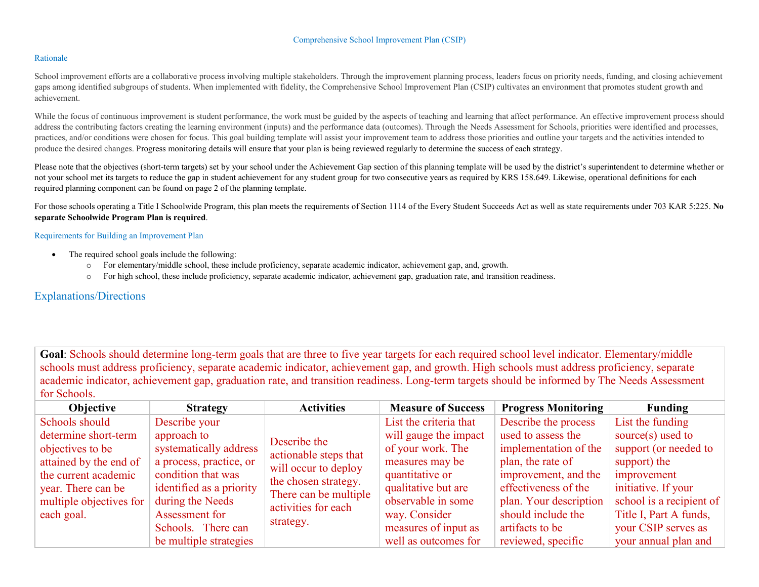### Rationale

School improvement efforts are a collaborative process involving multiple stakeholders. Through the improvement planning process, leaders focus on priority needs, funding, and closing achievement gaps among identified subgroups of students. When implemented with fidelity, the Comprehensive School Improvement Plan (CSIP) cultivates an environment that promotes student growth and achievement.

While the focus of continuous improvement is student performance, the work must be guided by the aspects of teaching and learning that affect performance. An effective improvement process should address the contributing factors creating the learning environment (inputs) and the performance data (outcomes). Through the Needs Assessment for Schools, priorities were identified and processes, practices, and/or conditions were chosen for focus. This goal building template will assist your improvement team to address those priorities and outline your targets and the activities intended to produce the desired changes. Progress monitoring details will ensure that your plan is being reviewed regularly to determine the success of each strategy.

Please note that the objectives (short-term targets) set by your school under the Achievement Gap section of this planning template will be used by the district's superintendent to determine whether or not your school met its targets to reduce the gap in student achievement for any student group for two consecutive years as required by KRS 158.649. Likewise, operational definitions for each required planning component can be found on page 2 of the planning template.

For those schools operating a Title I Schoolwide Program, this plan meets the requirements of Section 1114 of the Every Student Succeeds Act as well as state requirements under 703 KAR 5:225. **No separate Schoolwide Program Plan is required**.

#### Requirements for Building an Improvement Plan

- The required school goals include the following:
	- o For elementary/middle school, these include proficiency, separate academic indicator, achievement gap, and, growth.
	- o For high school, these include proficiency, separate academic indicator, achievement gap, graduation rate, and transition readiness.

# Explanations/Directions

**Goal**: Schools should determine long-term goals that are three to five year targets for each required school level indicator. Elementary/middle schools must address proficiency, separate academic indicator, achievement gap, and growth. High schools must address proficiency, separate academic indicator, achievement gap, graduation rate, and transition readiness. Long-term targets should be informed by The Needs Assessment for Schools.

| <b>Objective</b>        | <b>Strategy</b>          | <b>Activities</b>                                                    | <b>Measure of Success</b> | <b>Progress Monitoring</b> | Funding                  |
|-------------------------|--------------------------|----------------------------------------------------------------------|---------------------------|----------------------------|--------------------------|
| Schools should          | Describe your            |                                                                      | List the criteria that    | Describe the process       | List the funding         |
| determine short-term    | approach to              | Describe the                                                         | will gauge the impact     | used to assess the         | source $(s)$ used to     |
| objectives to be        | systematically address   | actionable steps that                                                | of your work. The         | implementation of the      | support (or needed to    |
| attained by the end of  | a process, practice, or  | will occur to deploy                                                 | measures may be           | plan, the rate of          | support) the             |
| the current academic    | condition that was       | the chosen strategy.<br>There can be multiple<br>activities for each | quantitative or           | improvement, and the       | improvement              |
| year. There can be      | identified as a priority |                                                                      | qualitative but are       | effectiveness of the       | initiative. If your      |
| multiple objectives for | during the Needs         |                                                                      | observable in some        | plan. Your description     | school is a recipient of |
| each goal.              | Assessment for           | strategy.                                                            | way. Consider             | should include the         | Title I, Part A funds,   |
|                         | Schools. There can       |                                                                      | measures of input as      | artifacts to be            | your CSIP serves as      |
|                         | be multiple strategies   |                                                                      | well as outcomes for      | reviewed, specific         | your annual plan and     |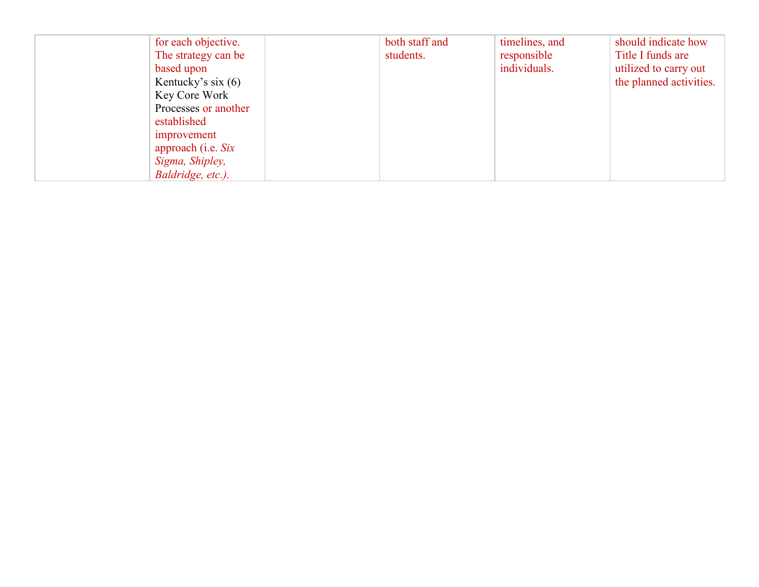| for each objective.  | both staff and | timelines, and | should indicate how     |
|----------------------|----------------|----------------|-------------------------|
| The strategy can be  | students.      | responsible    | Title I funds are       |
| based upon           |                | individuals.   | utilized to carry out   |
| Kentucky's six $(6)$ |                |                | the planned activities. |
| Key Core Work        |                |                |                         |
| Processes or another |                |                |                         |
| established          |                |                |                         |
| improvement          |                |                |                         |
| approach (i.e. Six   |                |                |                         |
| Sigma, Shipley,      |                |                |                         |
| Baldridge, etc.).    |                |                |                         |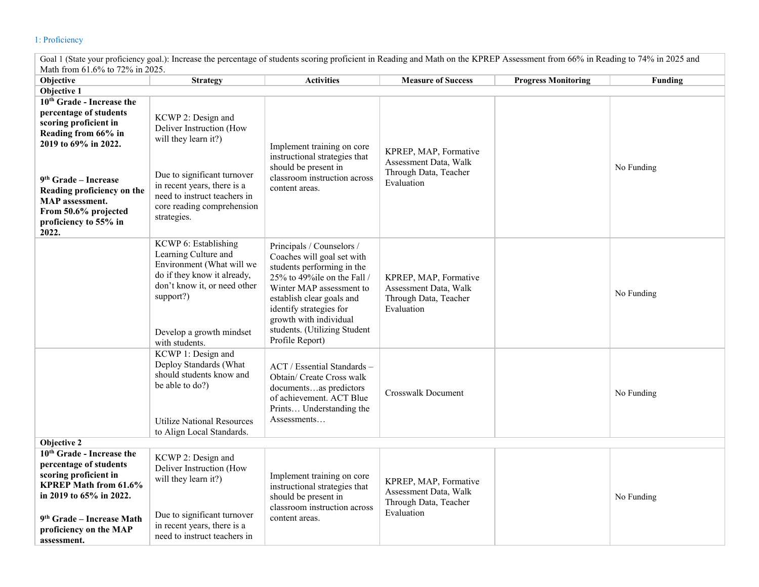# 1: Proficiency

| Math from 61.6% to 72% in 2025.                                                                                                                                                                                                                      |                                                                                                                                                                                                                   |                                                                                                                                                                                                                                                                                       |                                                                                       |                            |            |  |
|------------------------------------------------------------------------------------------------------------------------------------------------------------------------------------------------------------------------------------------------------|-------------------------------------------------------------------------------------------------------------------------------------------------------------------------------------------------------------------|---------------------------------------------------------------------------------------------------------------------------------------------------------------------------------------------------------------------------------------------------------------------------------------|---------------------------------------------------------------------------------------|----------------------------|------------|--|
| Objective                                                                                                                                                                                                                                            | <b>Strategy</b>                                                                                                                                                                                                   | <b>Activities</b>                                                                                                                                                                                                                                                                     | <b>Measure of Success</b>                                                             | <b>Progress Monitoring</b> | Funding    |  |
| Objective 1                                                                                                                                                                                                                                          |                                                                                                                                                                                                                   |                                                                                                                                                                                                                                                                                       |                                                                                       |                            |            |  |
| 10 <sup>th</sup> Grade - Increase the<br>percentage of students<br>scoring proficient in<br>Reading from 66% in<br>2019 to 69% in 2022.<br>9 <sup>th</sup> Grade – Increase<br>Reading proficiency on the<br>MAP assessment.<br>From 50.6% projected | KCWP 2: Design and<br>Deliver Instruction (How<br>will they learn it?)<br>Due to significant turnover<br>in recent years, there is a<br>need to instruct teachers in<br>core reading comprehension<br>strategies. | Implement training on core<br>instructional strategies that<br>should be present in<br>classroom instruction across<br>content areas.                                                                                                                                                 | KPREP, MAP, Formative<br>Assessment Data, Walk<br>Through Data, Teacher<br>Evaluation |                            | No Funding |  |
| proficiency to 55% in<br>2022.                                                                                                                                                                                                                       | KCWP 6: Establishing<br>Learning Culture and<br>Environment (What will we<br>do if they know it already,<br>don't know it, or need other<br>support?)<br>Develop a growth mindset<br>with students.               | Principals / Counselors /<br>Coaches will goal set with<br>students performing in the<br>25% to 49%ile on the Fall /<br>Winter MAP assessment to<br>establish clear goals and<br>identify strategies for<br>growth with individual<br>students. (Utilizing Student<br>Profile Report) | KPREP, MAP, Formative<br>Assessment Data, Walk<br>Through Data, Teacher<br>Evaluation |                            | No Funding |  |
| Objective 2                                                                                                                                                                                                                                          | KCWP 1: Design and<br>Deploy Standards (What<br>should students know and<br>be able to do?)<br><b>Utilize National Resources</b><br>to Align Local Standards.                                                     | ACT / Essential Standards –<br>Obtain/ Create Cross walk<br>documentsas predictors<br>of achievement. ACT Blue<br>Prints Understanding the<br>Assessments                                                                                                                             | <b>Crosswalk Document</b>                                                             |                            | No Funding |  |
| 10 <sup>th</sup> Grade - Increase the<br>percentage of students<br>scoring proficient in<br><b>KPREP Math from 61.6%</b><br>in 2019 to 65% in 2022.<br>9 <sup>th</sup> Grade - Increase Math<br>proficiency on the MAP<br>assessment.                | KCWP 2: Design and<br>Deliver Instruction (How<br>will they learn it?)<br>Due to significant turnover<br>in recent years, there is a<br>need to instruct teachers in                                              | Implement training on core<br>instructional strategies that<br>should be present in<br>classroom instruction across<br>content areas.                                                                                                                                                 | KPREP, MAP, Formative<br>Assessment Data, Walk<br>Through Data, Teacher<br>Evaluation |                            | No Funding |  |

Goal 1 (State your proficiency goal.): Increase the percentage of students scoring proficient in Reading and Math on the KPREP Assessment from 66% in Reading to 74% in 2025 and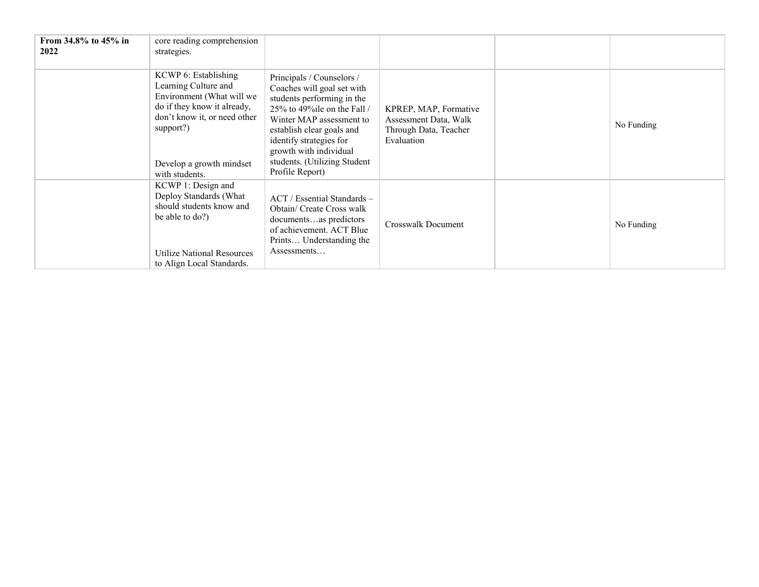| From 34.8% to 45% in<br>2022 | core reading comprehension<br>strategies.                                                                                                                                                           |                                                                                                                                                                                                                                                                                          |                                                                                       |            |
|------------------------------|-----------------------------------------------------------------------------------------------------------------------------------------------------------------------------------------------------|------------------------------------------------------------------------------------------------------------------------------------------------------------------------------------------------------------------------------------------------------------------------------------------|---------------------------------------------------------------------------------------|------------|
|                              | KCWP 6: Establishing<br>Learning Culture and<br>Environment (What will we<br>do if they know it already,<br>don't know it, or need other<br>support?)<br>Develop a growth mindset<br>with students. | Principals / Counselors /<br>Coaches will goal set with<br>students performing in the<br>25% to 49% ile on the Fall $/$<br>Winter MAP assessment to<br>establish clear goals and<br>identify strategies for<br>growth with individual<br>students. (Utilizing Student<br>Profile Report) | KPREP, MAP, Formative<br>Assessment Data, Walk<br>Through Data, Teacher<br>Evaluation | No Funding |
|                              | KCWP 1: Design and<br>Deploy Standards (What<br>should students know and<br>be able to do?)<br>Utilize National Resources<br>to Align Local Standards.                                              | ACT / Essential Standards –<br>Obtain/ Create Cross walk<br>documentsas predictors<br>of achievement. ACT Blue<br>Prints Understanding the<br>Assessments                                                                                                                                | Crosswalk Document                                                                    | No Funding |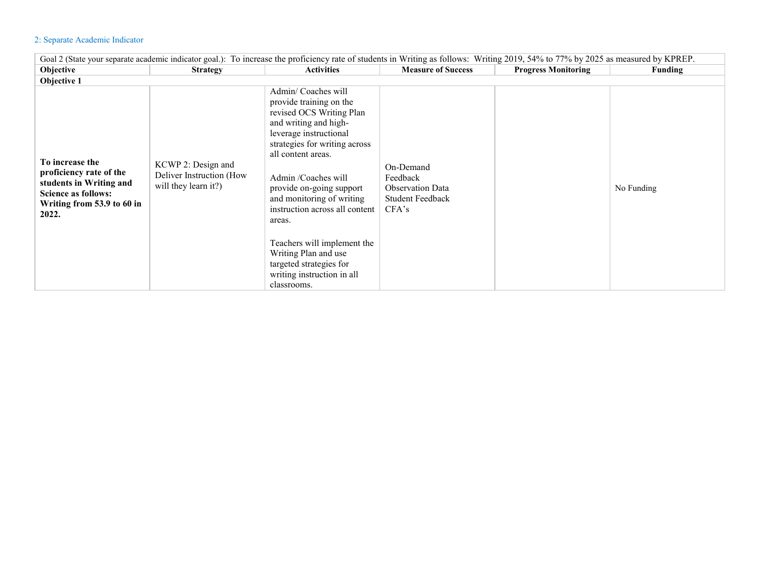## 2: Separate Academic Indicator

| Goal 2 (State your separate academic indicator goal.): To increase the proficiency rate of students in Writing as follows: Writing 2019, 54% to 77% by 2025 as measured by KPREP. |                                                                        |                                                                                                                                                                                                                                                                                                                                                                                                                                                |                                                                                      |                            |            |  |  |
|-----------------------------------------------------------------------------------------------------------------------------------------------------------------------------------|------------------------------------------------------------------------|------------------------------------------------------------------------------------------------------------------------------------------------------------------------------------------------------------------------------------------------------------------------------------------------------------------------------------------------------------------------------------------------------------------------------------------------|--------------------------------------------------------------------------------------|----------------------------|------------|--|--|
| <b>Objective</b>                                                                                                                                                                  | <b>Strategy</b>                                                        | <b>Activities</b>                                                                                                                                                                                                                                                                                                                                                                                                                              | <b>Measure of Success</b>                                                            | <b>Progress Monitoring</b> | Funding    |  |  |
| Objective 1                                                                                                                                                                       |                                                                        |                                                                                                                                                                                                                                                                                                                                                                                                                                                |                                                                                      |                            |            |  |  |
| To increase the<br>proficiency rate of the<br>students in Writing and<br><b>Science as follows:</b><br>Writing from 53.9 to 60 in<br>2022.                                        | KCWP 2: Design and<br>Deliver Instruction (How<br>will they learn it?) | Admin/Coaches will<br>provide training on the<br>revised OCS Writing Plan<br>and writing and high-<br>leverage instructional<br>strategies for writing across<br>all content areas.<br>Admin /Coaches will<br>provide on-going support<br>and monitoring of writing<br>instruction across all content<br>areas.<br>Teachers will implement the<br>Writing Plan and use<br>targeted strategies for<br>writing instruction in all<br>classrooms. | On-Demand<br>Feedback<br><b>Observation Data</b><br><b>Student Feedback</b><br>CFA's |                            | No Funding |  |  |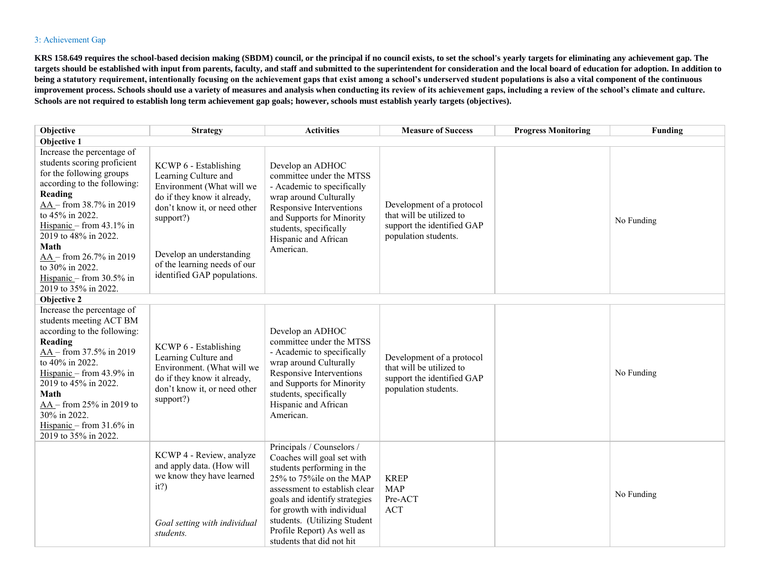#### 3: Achievement Gap

**KRS 158.649 requires the school-based decision making (SBDM) council, or the principal if no council exists, to set the school's yearly targets for eliminating any achievement gap. The targets should be established with input from parents, faculty, and staff and submitted to the superintendent for consideration and the local board of education for adoption. In addition to**  being a statutory requirement, intentionally focusing on the achievement gaps that exist among a school's underserved student populations is also a vital component of the continuous **improvement process. Schools should use a variety of measures and analysis when conducting its review of its achievement gaps, including a review of the school's climate and culture. Schools are not required to establish long term achievement gap goals; however, schools must establish yearly targets (objectives).** 

| Objective                                                                                                                                                                                                                                                                                                                                            | <b>Strategy</b>                                                                                                                                                                                                                                   | <b>Activities</b>                                                                                                                                                                                                                                                                                             | <b>Measure of Success</b>                                                                                   | <b>Progress Monitoring</b> | Funding    |
|------------------------------------------------------------------------------------------------------------------------------------------------------------------------------------------------------------------------------------------------------------------------------------------------------------------------------------------------------|---------------------------------------------------------------------------------------------------------------------------------------------------------------------------------------------------------------------------------------------------|---------------------------------------------------------------------------------------------------------------------------------------------------------------------------------------------------------------------------------------------------------------------------------------------------------------|-------------------------------------------------------------------------------------------------------------|----------------------------|------------|
| Objective 1                                                                                                                                                                                                                                                                                                                                          |                                                                                                                                                                                                                                                   |                                                                                                                                                                                                                                                                                                               |                                                                                                             |                            |            |
| Increase the percentage of<br>students scoring proficient<br>for the following groups<br>according to the following:<br>Reading<br>$AA - from 38.7\% in 2019$<br>to 45% in 2022.<br>Hispanic – from $43.1\%$ in<br>2019 to 48% in 2022.<br>Math<br>AA - from 26.7% in 2019<br>to 30% in 2022.<br>Hispanic – from $30.5\%$ in<br>2019 to 35% in 2022. | KCWP 6 - Establishing<br>Learning Culture and<br>Environment (What will we<br>do if they know it already,<br>don't know it, or need other<br>support?)<br>Develop an understanding<br>of the learning needs of our<br>identified GAP populations. | Develop an ADHOC<br>committee under the MTSS<br>- Academic to specifically<br>wrap around Culturally<br>Responsive Interventions<br>and Supports for Minority<br>students, specifically<br>Hispanic and African<br>American.                                                                                  | Development of a protocol<br>that will be utilized to<br>support the identified GAP<br>population students. |                            | No Funding |
| Objective 2                                                                                                                                                                                                                                                                                                                                          |                                                                                                                                                                                                                                                   |                                                                                                                                                                                                                                                                                                               |                                                                                                             |                            |            |
| Increase the percentage of<br>students meeting ACT BM<br>according to the following:<br>Reading<br>AA - from 37.5% in 2019<br>to 40% in 2022.<br>Hispanic – from 43.9% in<br>2019 to 45% in 2022.<br>Math<br>$AA - from 25\%$ in 2019 to<br>30% in 2022.<br>Hispanic – from $31.6\%$ in<br>2019 to 35% in 2022.                                      | KCWP 6 - Establishing<br>Learning Culture and<br>Environment. (What will we<br>do if they know it already,<br>don't know it, or need other<br>support?)                                                                                           | Develop an ADHOC<br>committee under the MTSS<br>- Academic to specifically<br>wrap around Culturally<br>Responsive Interventions<br>and Supports for Minority<br>students, specifically<br>Hispanic and African<br>American.                                                                                  | Development of a protocol<br>that will be utilized to<br>support the identified GAP<br>population students. |                            | No Funding |
|                                                                                                                                                                                                                                                                                                                                                      | KCWP 4 - Review, analyze<br>and apply data. (How will<br>we know they have learned<br>it?)<br>Goal setting with individual<br>students.                                                                                                           | Principals / Counselors /<br>Coaches will goal set with<br>students performing in the<br>25% to 75% ile on the MAP<br>assessment to establish clear<br>goals and identify strategies<br>for growth with individual<br>students. (Utilizing Student<br>Profile Report) As well as<br>students that did not hit | <b>KREP</b><br><b>MAP</b><br>Pre-ACT<br><b>ACT</b>                                                          |                            | No Funding |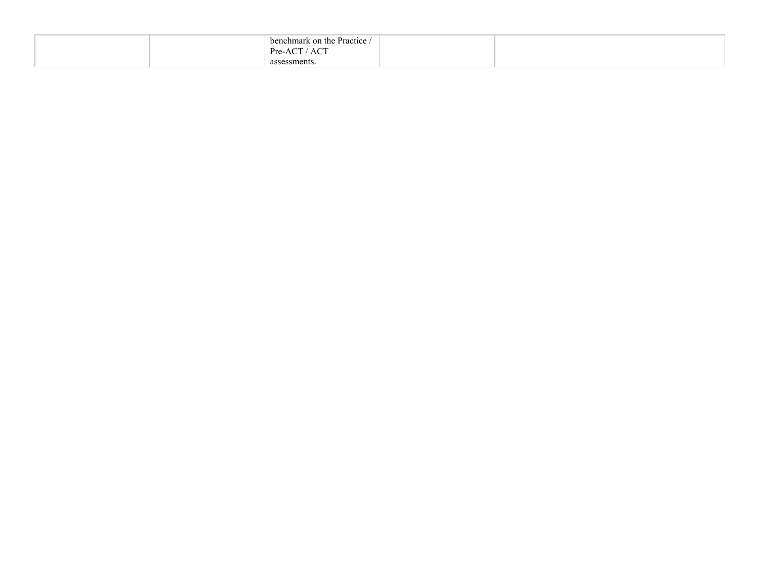| on the Practice<br>benchmark<br>$\Lambda$ $\cap$ <sup><math>\top</math></sup><br>Pre-ACT |  |  |
|------------------------------------------------------------------------------------------|--|--|
| AU I<br>assessments                                                                      |  |  |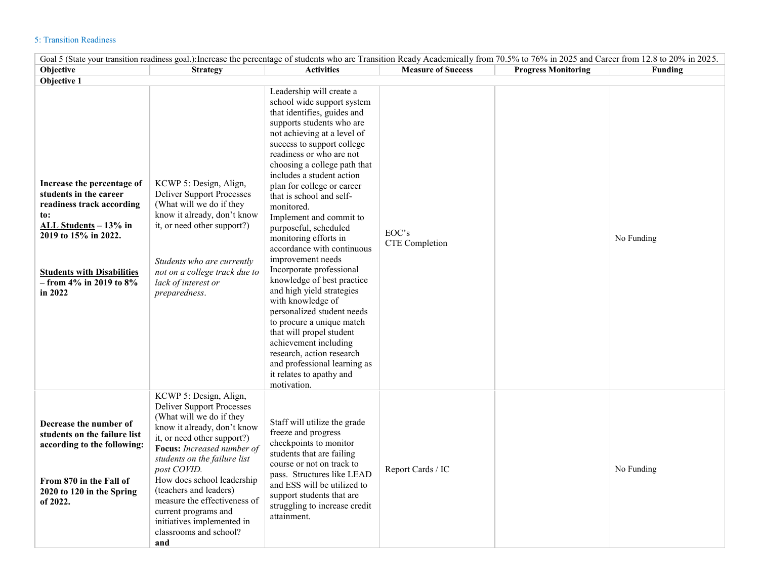## 5: Transition Readiness

| Goal 5 (State your transition readiness goal.): Increase the percentage of students who are Transition Ready Academically from 70.5% to 76% in 2025 and Career from 12.8 to 20% in 2025.                               |                                                                                                                                                                                                                                                                                                                                                                                                                  |                                                                                                                                                                                                                                                                                                                                                                                                                                                                                                                                                                                                                                                                                                                                                                                                                      |                           |                            |                |  |
|------------------------------------------------------------------------------------------------------------------------------------------------------------------------------------------------------------------------|------------------------------------------------------------------------------------------------------------------------------------------------------------------------------------------------------------------------------------------------------------------------------------------------------------------------------------------------------------------------------------------------------------------|----------------------------------------------------------------------------------------------------------------------------------------------------------------------------------------------------------------------------------------------------------------------------------------------------------------------------------------------------------------------------------------------------------------------------------------------------------------------------------------------------------------------------------------------------------------------------------------------------------------------------------------------------------------------------------------------------------------------------------------------------------------------------------------------------------------------|---------------------------|----------------------------|----------------|--|
| Objective                                                                                                                                                                                                              | <b>Strategy</b>                                                                                                                                                                                                                                                                                                                                                                                                  | <b>Activities</b>                                                                                                                                                                                                                                                                                                                                                                                                                                                                                                                                                                                                                                                                                                                                                                                                    | <b>Measure of Success</b> | <b>Progress Monitoring</b> | <b>Funding</b> |  |
| Objective 1                                                                                                                                                                                                            |                                                                                                                                                                                                                                                                                                                                                                                                                  |                                                                                                                                                                                                                                                                                                                                                                                                                                                                                                                                                                                                                                                                                                                                                                                                                      |                           |                            |                |  |
| Increase the percentage of<br>students in the career<br>readiness track according<br>to:<br>ALL Students - 13% in<br>2019 to 15% in 2022.<br><b>Students with Disabilities</b><br>$-$ from 4% in 2019 to 8%<br>in 2022 | KCWP 5: Design, Align,<br><b>Deliver Support Processes</b><br>(What will we do if they<br>know it already, don't know<br>it, or need other support?)<br>Students who are currently<br>not on a college track due to<br>lack of interest or<br>preparedness.                                                                                                                                                      | Leadership will create a<br>school wide support system<br>that identifies, guides and<br>supports students who are<br>not achieving at a level of<br>success to support college<br>readiness or who are not<br>choosing a college path that<br>includes a student action<br>plan for college or career<br>that is school and self-<br>monitored.<br>Implement and commit to<br>purposeful, scheduled<br>monitoring efforts in<br>accordance with continuous<br>improvement needs<br>Incorporate professional<br>knowledge of best practice<br>and high yield strategies<br>with knowledge of<br>personalized student needs<br>to procure a unique match<br>that will propel student<br>achievement including<br>research, action research<br>and professional learning as<br>it relates to apathy and<br>motivation. | EOC's<br>CTE Completion   |                            | No Funding     |  |
| Decrease the number of<br>students on the failure list<br>according to the following:<br>From 870 in the Fall of<br>2020 to 120 in the Spring<br>of 2022.                                                              | KCWP 5: Design, Align,<br><b>Deliver Support Processes</b><br>(What will we do if they<br>know it already, don't know<br>it, or need other support?)<br>Focus: Increased number of<br>students on the failure list<br>post COVID.<br>How does school leadership<br>(teachers and leaders)<br>measure the effectiveness of<br>current programs and<br>initiatives implemented in<br>classrooms and school?<br>and | Staff will utilize the grade<br>freeze and progress<br>checkpoints to monitor<br>students that are failing<br>course or not on track to<br>pass. Structures like LEAD<br>and ESS will be utilized to<br>support students that are<br>struggling to increase credit<br>attainment.                                                                                                                                                                                                                                                                                                                                                                                                                                                                                                                                    | Report Cards / IC         |                            | No Funding     |  |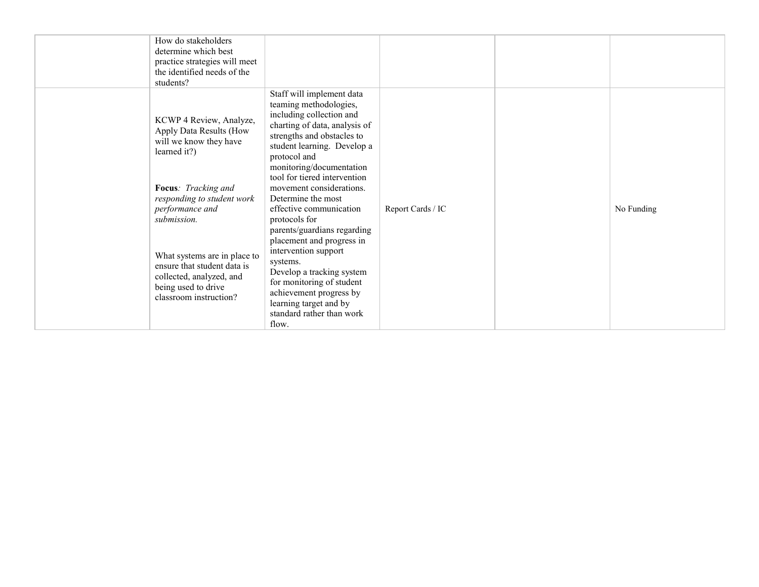| students?                   | How do stakeholders<br>determine which best<br>practice strategies will meet<br>the identified needs of the                                                                                                                                                                                                           |                                                                                                                                                                                                                                                                                                                                                                                                                                                                                                                                                                                         |                   |            |
|-----------------------------|-----------------------------------------------------------------------------------------------------------------------------------------------------------------------------------------------------------------------------------------------------------------------------------------------------------------------|-----------------------------------------------------------------------------------------------------------------------------------------------------------------------------------------------------------------------------------------------------------------------------------------------------------------------------------------------------------------------------------------------------------------------------------------------------------------------------------------------------------------------------------------------------------------------------------------|-------------------|------------|
| learned it?)<br>submission. | KCWP 4 Review, Analyze,<br>Apply Data Results (How<br>will we know they have<br>Focus: Tracking and<br>responding to student work<br>performance and<br>What systems are in place to<br>systems.<br>ensure that student data is<br>collected, analyzed, and<br>being used to drive<br>classroom instruction?<br>flow. | Staff will implement data<br>teaming methodologies,<br>including collection and<br>charting of data, analysis of<br>strengths and obstacles to<br>student learning. Develop a<br>protocol and<br>monitoring/documentation<br>tool for tiered intervention<br>movement considerations.<br>Determine the most<br>effective communication<br>protocols for<br>parents/guardians regarding<br>placement and progress in<br>intervention support<br>Develop a tracking system<br>for monitoring of student<br>achievement progress by<br>learning target and by<br>standard rather than work | Report Cards / IC | No Funding |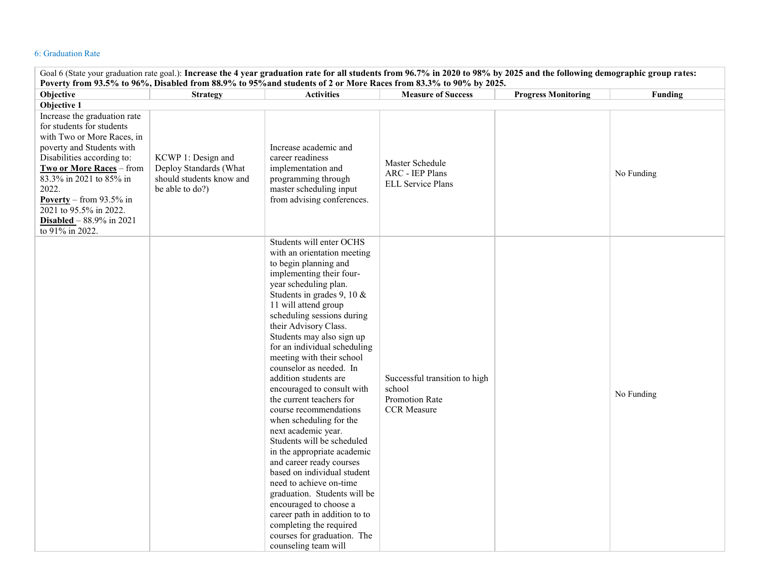### 6: Graduation Rate

| Goal 6 (State your graduation rate goal.): Increase the 4 year graduation rate for all students from 96.7% in 2020 to 98% by 2025 and the following demographic group rates:<br>Poverty from 93.5% to 96%, Disabled from 88.9% to 95% and students of 2 or More Races from 83.3% to 90% by 2025.                                    |                                                                                             |                                                                                                                                                                                                                                                                                                                                                                                                                                                                                                                                                                                                                                                                                                                                                                                                                                                                        |                                                                                 |                            |            |  |
|-------------------------------------------------------------------------------------------------------------------------------------------------------------------------------------------------------------------------------------------------------------------------------------------------------------------------------------|---------------------------------------------------------------------------------------------|------------------------------------------------------------------------------------------------------------------------------------------------------------------------------------------------------------------------------------------------------------------------------------------------------------------------------------------------------------------------------------------------------------------------------------------------------------------------------------------------------------------------------------------------------------------------------------------------------------------------------------------------------------------------------------------------------------------------------------------------------------------------------------------------------------------------------------------------------------------------|---------------------------------------------------------------------------------|----------------------------|------------|--|
| Objective                                                                                                                                                                                                                                                                                                                           | <b>Strategy</b>                                                                             | <b>Activities</b>                                                                                                                                                                                                                                                                                                                                                                                                                                                                                                                                                                                                                                                                                                                                                                                                                                                      | <b>Measure of Success</b>                                                       | <b>Progress Monitoring</b> | Funding    |  |
| Objective 1                                                                                                                                                                                                                                                                                                                         |                                                                                             |                                                                                                                                                                                                                                                                                                                                                                                                                                                                                                                                                                                                                                                                                                                                                                                                                                                                        |                                                                                 |                            |            |  |
| Increase the graduation rate<br>for students for students<br>with Two or More Races, in<br>poverty and Students with<br>Disabilities according to:<br>Two or More Races - from<br>83.3% in 2021 to 85% in<br>2022.<br>Poverty – from $93.5\%$ in<br>2021 to 95.5% in 2022.<br><b>Disabled</b> – $88.9\%$ in 2021<br>to 91% in 2022. | KCWP 1: Design and<br>Deploy Standards (What<br>should students know and<br>be able to do?) | Increase academic and<br>career readiness<br>implementation and<br>programming through<br>master scheduling input<br>from advising conferences.                                                                                                                                                                                                                                                                                                                                                                                                                                                                                                                                                                                                                                                                                                                        | Master Schedule<br><b>ARC</b> - IEP Plans<br><b>ELL Service Plans</b>           |                            | No Funding |  |
|                                                                                                                                                                                                                                                                                                                                     |                                                                                             | Students will enter OCHS<br>with an orientation meeting<br>to begin planning and<br>implementing their four-<br>year scheduling plan.<br>Students in grades 9, 10 &<br>11 will attend group<br>scheduling sessions during<br>their Advisory Class.<br>Students may also sign up<br>for an individual scheduling<br>meeting with their school<br>counselor as needed. In<br>addition students are<br>encouraged to consult with<br>the current teachers for<br>course recommendations<br>when scheduling for the<br>next academic year.<br>Students will be scheduled<br>in the appropriate academic<br>and career ready courses<br>based on individual student<br>need to achieve on-time<br>graduation. Students will be<br>encouraged to choose a<br>career path in addition to to<br>completing the required<br>courses for graduation. The<br>counseling team will | Successful transition to high<br>school<br>Promotion Rate<br><b>CCR</b> Measure |                            | No Funding |  |